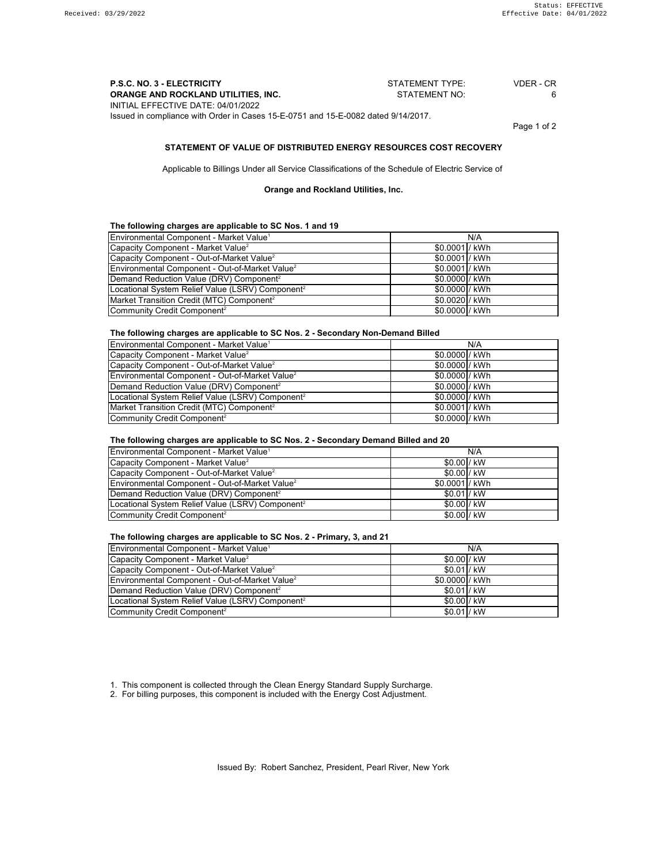| <b>P.S.C. NO. 3 - ELECTRICITY</b>                                                 | STATEMENT TYPE: | VDER - CR |
|-----------------------------------------------------------------------------------|-----------------|-----------|
| ORANGE AND ROCKLAND UTILITIES, INC.                                               | STATEMENT NO:   | 6.        |
| INITIAL EFFECTIVE DATE: 04/01/2022                                                |                 |           |
| Issued in compliance with Order in Cases 15-E-0751 and 15-E-0082 dated 9/14/2017. |                 |           |

Page 1 of 2

#### **STATEMENT OF VALUE OF DISTRIBUTED ENERGY RESOURCES COST RECOVERY**

Applicable to Billings Under all Service Classifications of the Schedule of Electric Service of

**Orange and Rockland Utilities, Inc.**

### **The following charges are applicable to SC Nos. 1 and 19**

| Environmental Component - Market Value <sup>1</sup>          |                 | N/A |
|--------------------------------------------------------------|-----------------|-----|
| Capacity Component - Market Value <sup>2</sup>               | \$0.0001 / kWh  |     |
| Capacity Component - Out-of-Market Value <sup>2</sup>        | \$0.0001 / kWh  |     |
| Environmental Component - Out-of-Market Value <sup>2</sup>   | \$0.0001 / kWh  |     |
| Demand Reduction Value (DRV) Component <sup>2</sup>          | \$0.0000 / kWh  |     |
| Locational System Relief Value (LSRV) Component <sup>2</sup> | \$0.0000 / kWh  |     |
| Market Transition Credit (MTC) Component <sup>2</sup>        | \$0.0020 / kWh  |     |
| Community Credit Component <sup>2</sup>                      | $$0.0000$ / kWh |     |

**The following charges are applicable to SC Nos. 2 - Secondary Non-Demand Billed**

| Environmental Component - Market Value <sup>1</sup>          | N/A             |
|--------------------------------------------------------------|-----------------|
| Capacity Component - Market Value <sup>2</sup>               | \$0.0000 / kWh  |
| Capacity Component - Out-of-Market Value <sup>2</sup>        | \$0.0000 / kWh  |
| Environmental Component - Out-of-Market Value <sup>2</sup>   | $$0.0000$ / kWh |
| Demand Reduction Value (DRV) Component <sup>2</sup>          | \$0.0000 / kWh  |
| Locational System Relief Value (LSRV) Component <sup>2</sup> | $$0.0000$ / kWh |
| Market Transition Credit (MTC) Component <sup>2</sup>        | $$0.0001$ / kWh |
| Community Credit Component <sup>2</sup>                      | \$0.0000 / kWh  |

### **The following charges are applicable to SC Nos. 2 - Secondary Demand Billed and 20**

| Environmental Component - Market Value <sup>1</sup>          |                | N/A |
|--------------------------------------------------------------|----------------|-----|
| Capacity Component - Market Value <sup>2</sup>               | \$0.00 / kW    |     |
| Capacity Component - Out-of-Market Value <sup>2</sup>        | \$0.00 / kW    |     |
| Environmental Component - Out-of-Market Value <sup>2</sup>   | \$0.0001 / kWh |     |
| Demand Reduction Value (DRV) Component <sup>2</sup>          | $$0.01$ / kW   |     |
| Locational System Relief Value (LSRV) Component <sup>2</sup> | \$0.00 / kW    |     |
| Community Credit Component <sup>2</sup>                      | \$0.00 / kW    |     |

### **The following charges are applicable to SC Nos. 2 - Primary, 3, and 21**

| Environmental Component - Market Value <sup>1</sup>          |                | N/A |
|--------------------------------------------------------------|----------------|-----|
| Capacity Component - Market Value <sup>2</sup>               | $$0.00$ / kW   |     |
| Capacity Component - Out-of-Market Value <sup>2</sup>        | $$0.01$ / kW   |     |
| Environmental Component - Out-of-Market Value <sup>2</sup>   | \$0.0000 / kWh |     |
| Demand Reduction Value (DRV) Component <sup>2</sup>          | $$0.01$ / kW   |     |
| Locational System Relief Value (LSRV) Component <sup>2</sup> | $$0.00$ / kW   |     |
| Community Credit Component <sup>2</sup>                      | $$0.01$ / kW   |     |

1. This component is collected through the Clean Energy Standard Supply Surcharge.

2. For billing purposes, this component is included with the Energy Cost Adjustment.